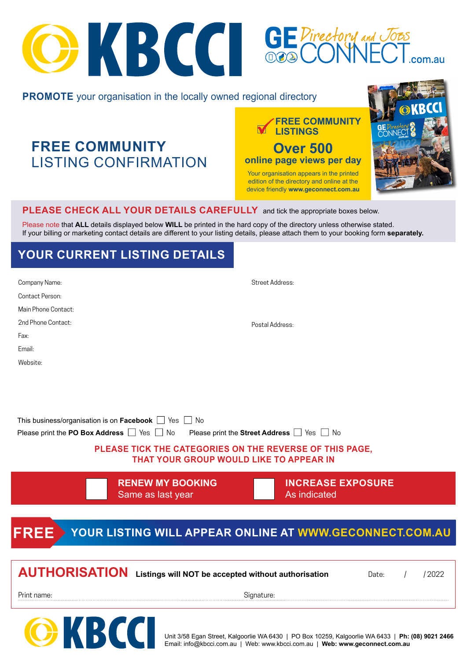# OKBCC SEPirectory and

#### **PROMOTE** your organisation in the locally owned regional directory

**FREE COMMUNITY**  LISTING CONFIRMATION **LISTINGS FREE COMMUNITY** 

**Over 500** views • FREE Business Advisory Service **online page views per day** 

Your organisation appears in the printed edition of the directory and online at the device friendly **www.geconnect.com.au** 



#### **PLEASE CHECK ALL YOUR DETAILS CAREFULLY** and tick the appropriate boxes below.

Please note that **ALL** details displayed below **WILL** be printed in the hard copy of the directory unless otherwise stated. If your billing or marketing contact details are different to your listing details, please attach them to your booking form **separately.**

### **YOUR CURRENT LISTING DETAILS**

**OKBL** 

| Company Name:                                        |                                                                                                                                                                      | Street Address:                          |       |          |       |
|------------------------------------------------------|----------------------------------------------------------------------------------------------------------------------------------------------------------------------|------------------------------------------|-------|----------|-------|
| Contact Person:                                      |                                                                                                                                                                      |                                          |       |          |       |
| Main Phone Contact:                                  |                                                                                                                                                                      |                                          |       |          |       |
| 2nd Phone Contact:                                   |                                                                                                                                                                      | Postal Address:                          |       |          |       |
| Fax:                                                 |                                                                                                                                                                      |                                          |       |          |       |
| Email:                                               |                                                                                                                                                                      |                                          |       |          |       |
| Website:                                             |                                                                                                                                                                      |                                          |       |          |       |
| Please print the PO Box Address $\Box$ Yes $\Box$ No | This business/organisation is on Facebook $\Box$ Yes $\Box$ No<br>PLEASE TICK THE CATEGORIES ON THE REVERSE OF THIS PAGE,<br>THAT YOUR GROUP WOULD LIKE TO APPEAR IN | Please print the Street Address Supply   |       |          |       |
|                                                      | <b>RENEW MY BOOKING</b><br>Same as last year                                                                                                                         | <b>INCREASE EXPOSURE</b><br>As indicated |       |          |       |
|                                                      |                                                                                                                                                                      |                                          |       |          |       |
| <b>FREE</b>                                          | YOUR LISTING WILL APPEAR ONLINE AT WWW.GECONNECT.COM.AU                                                                                                              |                                          |       |          |       |
|                                                      |                                                                                                                                                                      |                                          |       |          |       |
|                                                      | <b>AUTHORISATION</b> Listings will NOT be accepted without authorisation                                                                                             |                                          | Date: | $\prime$ | /2022 |
| Print name:                                          |                                                                                                                                                                      | Signature:                               |       |          |       |
|                                                      |                                                                                                                                                                      |                                          |       |          |       |